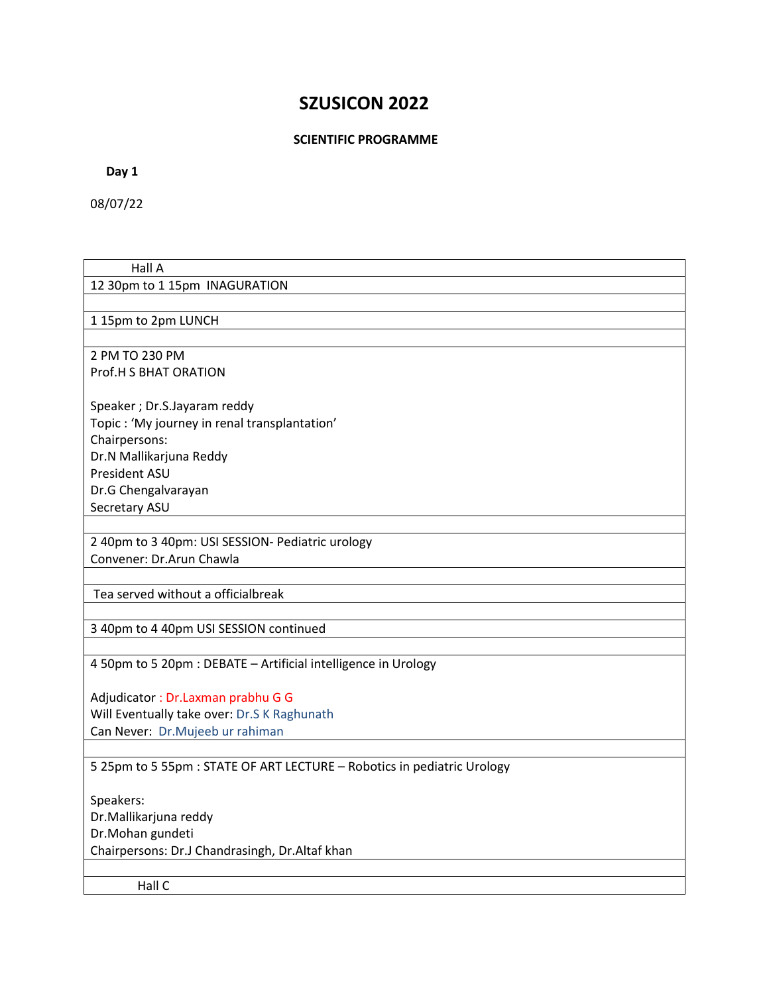# **SZUSICON 2022**

#### **SCIENTIFIC PROGRAMME**

 **Day 1** 

08/07/22

## Hall A 12 30pm to 1 15pm INAGURATION

1 15pm to 2pm LUNCH

2 PM TO 230 PM Prof.H S BHAT ORATION

Speaker ; Dr.S.Jayaram reddy Topic : 'My journey in renal transplantation' Chairpersons: Dr.N Mallikarjuna Reddy President ASU Dr.G Chengalvarayan Secretary ASU

2 40pm to 3 40pm: USI SESSION- Pediatric urology Convener: Dr.Arun Chawla

Tea served without a officialbreak

3 40pm to 4 40pm USI SESSION continued

4 50pm to 5 20pm : DEBATE – Artificial intelligence in Urology

Adjudicator : Dr.Laxman prabhu G G Will Eventually take over: Dr.S K Raghunath Can Never: Dr.Mujeeb ur rahiman

## 5 25pm to 5 55pm : STATE OF ART LECTURE – Robotics in pediatric Urology

Speakers: Dr.Mallikarjuna reddy Dr.Mohan gundeti Chairpersons: Dr.J Chandrasingh, Dr.Altaf khan

Hall C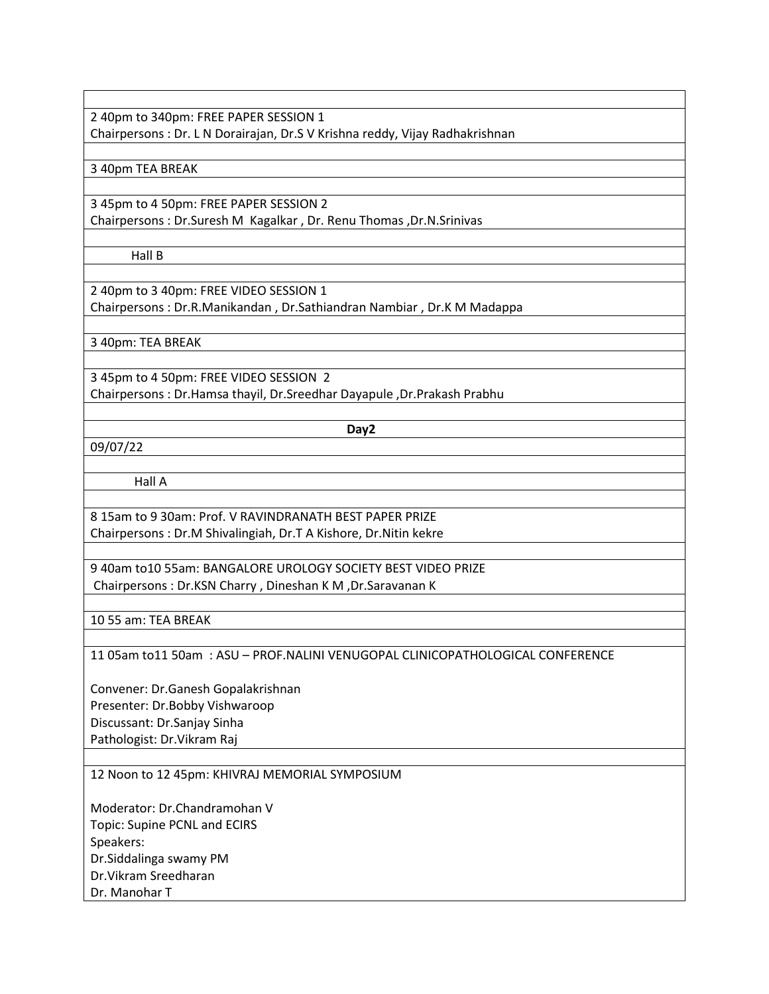2 40pm to 340pm: FREE PAPER SESSION 1 Chairpersons : Dr. L N Dorairajan, Dr.S V Krishna reddy, Vijay Radhakrishnan

#### 3 40pm TEA BREAK

3 45pm to 4 50pm: FREE PAPER SESSION 2 Chairpersons : Dr.Suresh M Kagalkar , Dr. Renu Thomas ,Dr.N.Srinivas

Hall B

2 40pm to 3 40pm: FREE VIDEO SESSION 1 Chairpersons : Dr.R.Manikandan , Dr.Sathiandran Nambiar , Dr.K M Madappa

3 40pm: TEA BREAK

3 45pm to 4 50pm: FREE VIDEO SESSION 2 Chairpersons : Dr.Hamsa thayil, Dr.Sreedhar Dayapule ,Dr.Prakash Prabhu

**Day2 Day2** 

09/07/22

Hall A

8 15am to 9 30am: Prof. V RAVINDRANATH BEST PAPER PRIZE Chairpersons : Dr.M Shivalingiah, Dr.T A Kishore, Dr.Nitin kekre

9 40am to10 55am: BANGALORE UROLOGY SOCIETY BEST VIDEO PRIZE Chairpersons : Dr.KSN Charry , Dineshan K M ,Dr.Saravanan K

10 55 am: TEA BREAK

11 05am to11 50am : ASU – PROF.NALINI VENUGOPAL CLINICOPATHOLOGICAL CONFERENCE

Convener: Dr.Ganesh Gopalakrishnan Presenter: Dr.Bobby Vishwaroop Discussant: Dr.Sanjay Sinha Pathologist: Dr.Vikram Raj

12 Noon to 12 45pm: KHIVRAJ MEMORIAL SYMPOSIUM

Moderator: Dr.Chandramohan V Topic: Supine PCNL and ECIRS Speakers: Dr.Siddalinga swamy PM Dr.Vikram Sreedharan Dr. Manohar T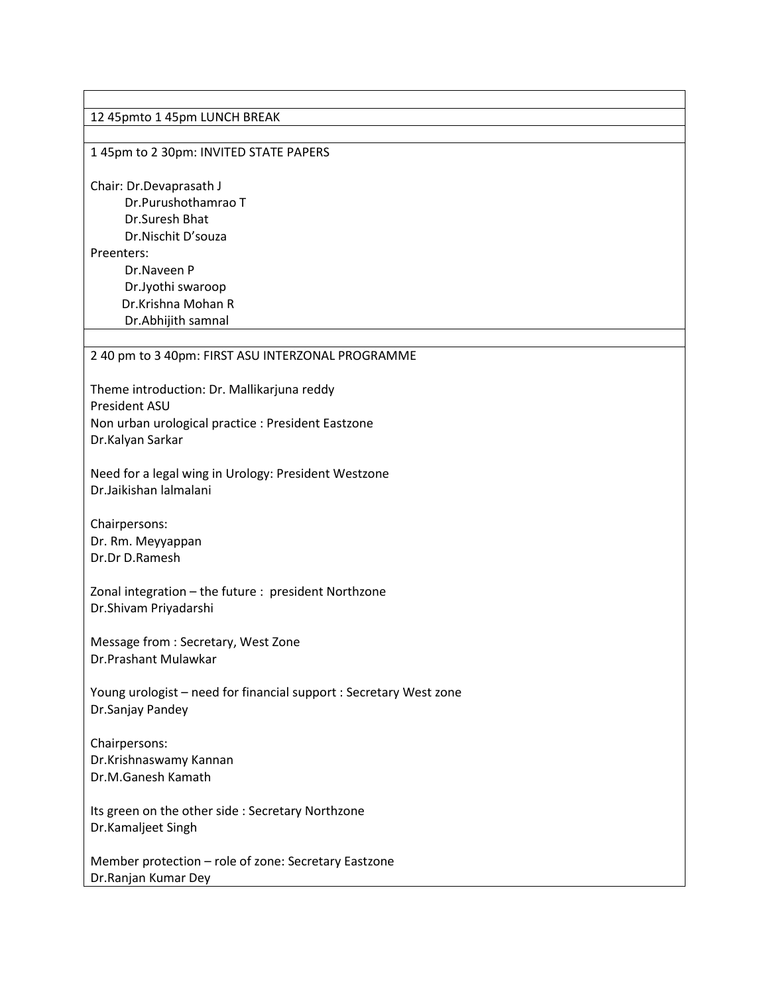# 12 45pmto 1 45pm LUNCH BREAK 1 45pm to 2 30pm: INVITED STATE PAPERS Chair: Dr.Devaprasath J Dr.Purushothamrao T Dr.Suresh Bhat Dr.Nischit D'souza Preenters: Dr.Naveen P Dr.Jyothi swaroop Dr.Krishna Mohan R Dr.Abhijith samnal 2 40 pm to 3 40pm: FIRST ASU INTERZONAL PROGRAMME Theme introduction: Dr. Mallikarjuna reddy President ASU Non urban urological practice : President Eastzone Dr.Kalyan Sarkar Need for a legal wing in Urology: President Westzone Dr.Jaikishan lalmalani Chairpersons: Dr. Rm. Meyyappan Dr.Dr D.Ramesh Zonal integration – the future : president Northzone Dr.Shivam Priyadarshi Message from : Secretary, West Zone Dr.Prashant Mulawkar Young urologist – need for financial support : Secretary West zone Dr.Sanjay Pandey Chairpersons: Dr.Krishnaswamy Kannan Dr.M.Ganesh Kamath Its green on the other side : Secretary Northzone Dr.Kamaljeet Singh Member protection – role of zone: Secretary Eastzone Dr.Ranjan Kumar Dey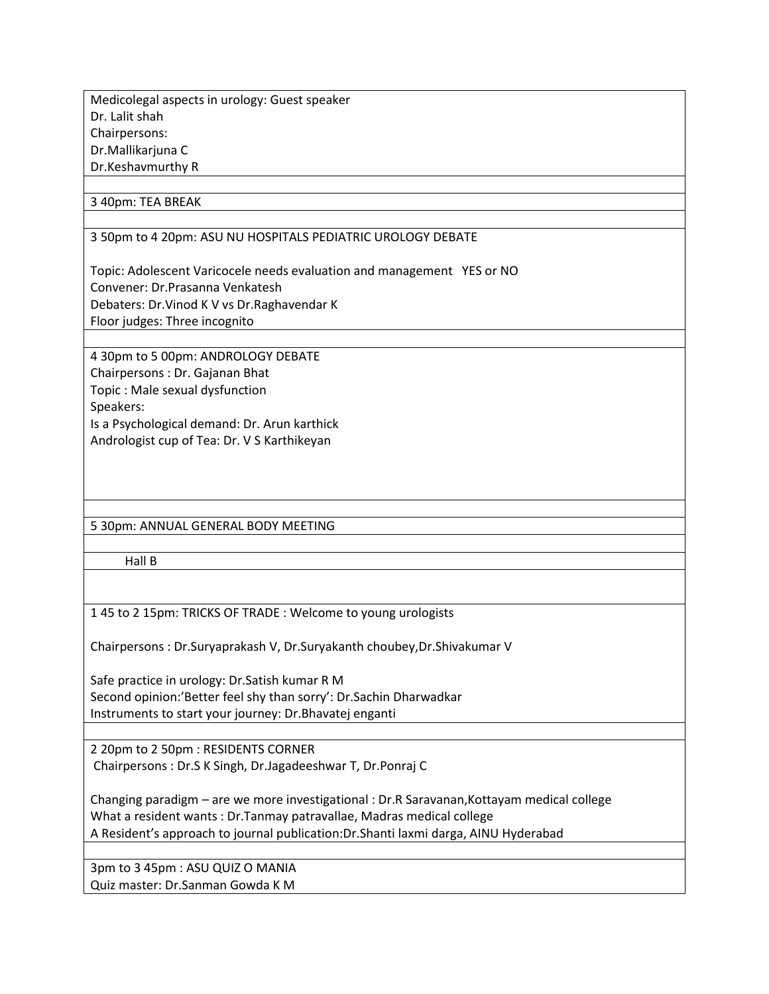Medicolegal aspects in urology: Guest speaker Dr. Lalit shah Chairpersons: Dr.Mallikarjuna C Dr.Keshavmurthy R

# 3 40pm: TEA BREAK

3 50pm to 4 20pm: ASU NU HOSPITALS PEDIATRIC UROLOGY DEBATE

Topic: Adolescent Varicocele needs evaluation and management YES or NO Convener: Dr.Prasanna Venkatesh Debaters: Dr.Vinod K V vs Dr.Raghavendar K Floor judges: Three incognito

4 30pm to 5 00pm: ANDROLOGY DEBATE Chairpersons : Dr. Gajanan Bhat Topic : Male sexual dysfunction Speakers: Is a Psychological demand: Dr. Arun karthick Andrologist cup of Tea: Dr. V S Karthikeyan

5 30pm: ANNUAL GENERAL BODY MEETING

Hall B

1 45 to 2 15pm: TRICKS OF TRADE : Welcome to young urologists

Chairpersons : Dr.Suryaprakash V, Dr.Suryakanth choubey,Dr.Shivakumar V

Safe practice in urology: Dr.Satish kumar R M Second opinion:'Better feel shy than sorry': Dr.Sachin Dharwadkar Instruments to start your journey: Dr.Bhavatej enganti

2 20pm to 2 50pm : RESIDENTS CORNER Chairpersons : Dr.S K Singh, Dr.Jagadeeshwar T, Dr.Ponraj C

Changing paradigm – are we more investigational : Dr.R Saravanan,Kottayam medical college What a resident wants : Dr.Tanmay patravallae, Madras medical college A Resident's approach to journal publication:Dr.Shanti laxmi darga, AINU Hyderabad

3pm to 3 45pm : ASU QUIZ O MANIA Quiz master: Dr.Sanman Gowda K M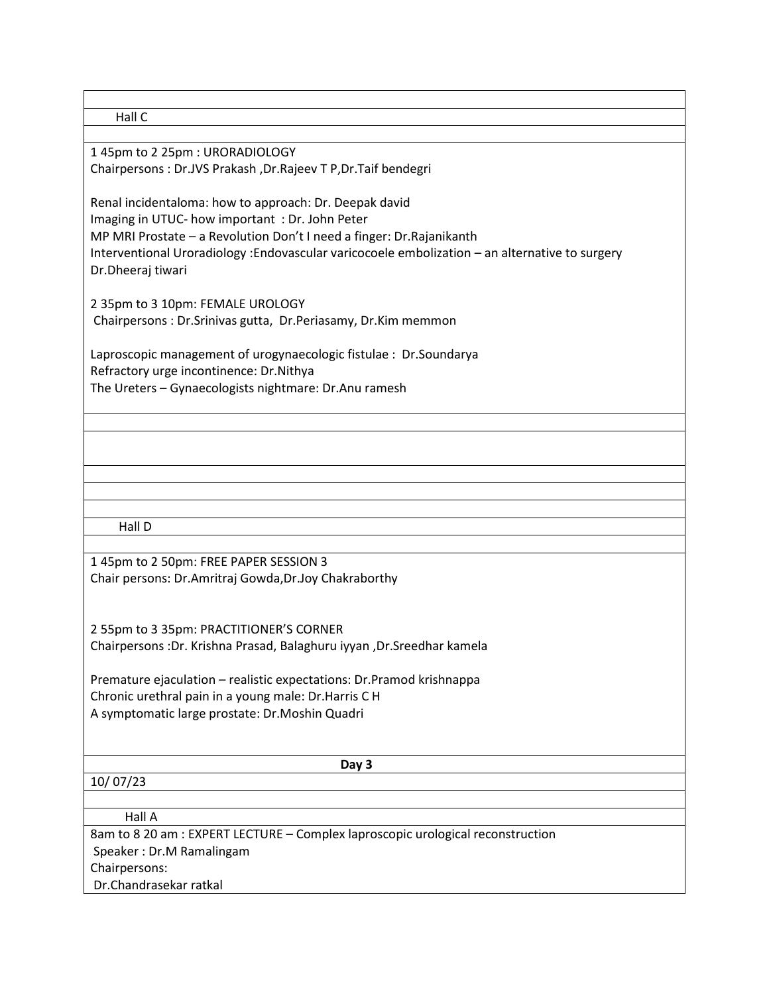Hall C

1 45pm to 2 25pm : URORADIOLOGY Chairpersons : Dr.JVS Prakash ,Dr.Rajeev T P,Dr.Taif bendegri

Renal incidentaloma: how to approach: Dr. Deepak david Imaging in UTUC- how important : Dr. John Peter MP MRI Prostate – a Revolution Don't I need a finger: Dr.Rajanikanth Interventional Uroradiology :Endovascular varicocoele embolization – an alternative to surgery Dr.Dheeraj tiwari

2 35pm to 3 10pm: FEMALE UROLOGY Chairpersons : Dr.Srinivas gutta, Dr.Periasamy, Dr.Kim memmon

Laproscopic management of urogynaecologic fistulae : Dr.Soundarya Refractory urge incontinence: Dr.Nithya The Ureters – Gynaecologists nightmare: Dr.Anu ramesh

Hall D

1 45pm to 2 50pm: FREE PAPER SESSION 3 Chair persons: Dr.Amritraj Gowda,Dr.Joy Chakraborthy

2 55pm to 3 35pm: PRACTITIONER'S CORNER Chairpersons :Dr. Krishna Prasad, Balaghuru iyyan ,Dr.Sreedhar kamela

Premature ejaculation – realistic expectations: Dr.Pramod krishnappa Chronic urethral pain in a young male: Dr.Harris C H A symptomatic large prostate: Dr.Moshin Quadri

10/ 07/23

 **Day 3** 

Hall A

8am to 8 20 am : EXPERT LECTURE – Complex laproscopic urological reconstruction Speaker : Dr.M Ramalingam Chairpersons: Dr.Chandrasekar ratkal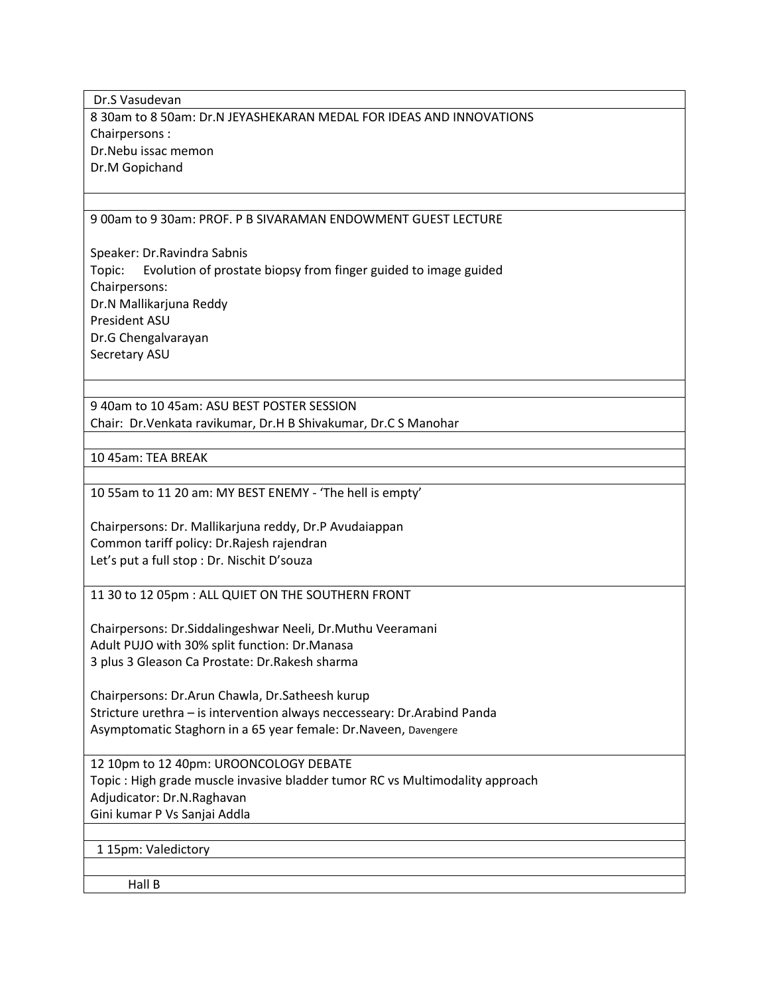Dr.S Vasudevan 8 30am to 8 50am: Dr.N JEYASHEKARAN MEDAL FOR IDEAS AND INNOVATIONS Chairpersons : Dr.Nebu issac memon Dr.M Gopichand

#### 9 00am to 9 30am: PROF. P B SIVARAMAN ENDOWMENT GUEST LECTURE

Speaker: Dr.Ravindra Sabnis Topic: Evolution of prostate biopsy from finger guided to image guided Chairpersons: Dr.N Mallikarjuna Reddy President ASU Dr.G Chengalvarayan Secretary ASU

9 40am to 10 45am: ASU BEST POSTER SESSION Chair: Dr.Venkata ravikumar, Dr.H B Shivakumar, Dr.C S Manohar

10 45am: TEA BREAK

10 55am to 11 20 am: MY BEST ENEMY - 'The hell is empty'

Chairpersons: Dr. Mallikarjuna reddy, Dr.P Avudaiappan Common tariff policy: Dr.Rajesh rajendran Let's put a full stop : Dr. Nischit D'souza

11 30 to 12 05pm : ALL QUIET ON THE SOUTHERN FRONT

Chairpersons: Dr.Siddalingeshwar Neeli, Dr.Muthu Veeramani Adult PUJO with 30% split function: Dr.Manasa 3 plus 3 Gleason Ca Prostate: Dr.Rakesh sharma

Chairpersons: Dr.Arun Chawla, Dr.Satheesh kurup Stricture urethra – is intervention always neccesseary: Dr.Arabind Panda Asymptomatic Staghorn in a 65 year female: Dr.Naveen, Davengere

12 10pm to 12 40pm: UROONCOLOGY DEBATE Topic : High grade muscle invasive bladder tumor RC vs Multimodality approach Adjudicator: Dr.N.Raghavan Gini kumar P Vs Sanjai Addla

1 15pm: Valedictory

Hall B